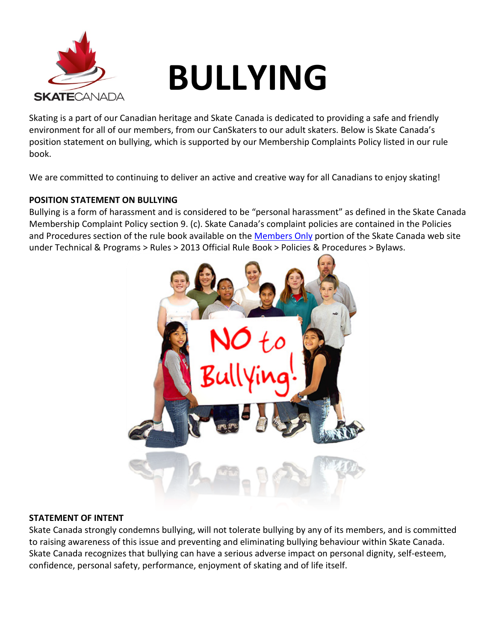

# **BULLYING**

Skating is a part of our Canadian heritage and Skate Canada is dedicated to providing a safe and friendly environment for all of our members, from our CanSkaters to our adult skaters. Below is Skate Canada's position statement on bullying, which is supported by our Membership Complaints Policy listed in our rule book.

We are committed to continuing to deliver an active and creative way for all Canadians to enjoy skating!

# **POSITION STATEMENT ON BULLYING**

Bullying is a form of harassment and is considered to be "personal harassment" as defined in the Skate Canada Membership Complaint Policy section 9. (c). Skate Canada's complaint policies are contained in the Policies and Procedures section of the rule book available on the [Members Only](https://members.skatecanada.ca/memberreg/logon.cfm) portion of the Skate Canada web site under Technical & Programs > Rules > 2013 Official Rule Book > Policies & Procedures > Bylaws.



### **STATEMENT OF INTENT**

Skate Canada strongly condemns bullying, will not tolerate bullying by any of its members, and is committed to raising awareness of this issue and preventing and eliminating bullying behaviour within Skate Canada. Skate Canada recognizes that bullying can have a serious adverse impact on personal dignity, self-esteem, confidence, personal safety, performance, enjoyment of skating and of life itself.